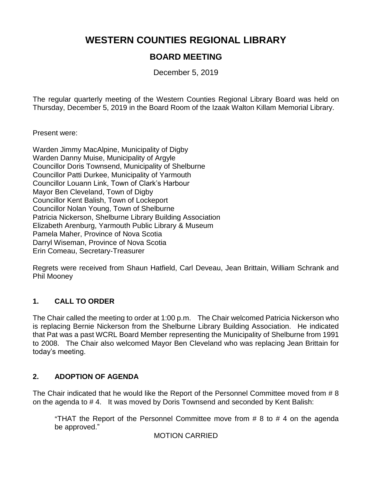# **WESTERN COUNTIES REGIONAL LIBRARY**

# **BOARD MEETING**

December 5, 2019

The regular quarterly meeting of the Western Counties Regional Library Board was held on Thursday, December 5, 2019 in the Board Room of the Izaak Walton Killam Memorial Library.

Present were:

Warden Jimmy MacAlpine, Municipality of Digby Warden Danny Muise, Municipality of Argyle Councillor Doris Townsend, Municipality of Shelburne Councillor Patti Durkee, Municipality of Yarmouth Councillor Louann Link, Town of Clark's Harbour Mayor Ben Cleveland, Town of Digby Councillor Kent Balish, Town of Lockeport Councillor Nolan Young, Town of Shelburne Patricia Nickerson, Shelburne Library Building Association Elizabeth Arenburg, Yarmouth Public Library & Museum Pamela Maher, Province of Nova Scotia Darryl Wiseman, Province of Nova Scotia Erin Comeau, Secretary-Treasurer

Regrets were received from Shaun Hatfield, Carl Deveau, Jean Brittain, William Schrank and Phil Mooney

# **1. CALL TO ORDER**

The Chair called the meeting to order at 1:00 p.m. The Chair welcomed Patricia Nickerson who is replacing Bernie Nickerson from the Shelburne Library Building Association. He indicated that Pat was a past WCRL Board Member representing the Municipality of Shelburne from 1991 to 2008. The Chair also welcomed Mayor Ben Cleveland who was replacing Jean Brittain for today's meeting.

# **2. ADOPTION OF AGENDA**

The Chair indicated that he would like the Report of the Personnel Committee moved from # 8 on the agenda to # 4. It was moved by Doris Townsend and seconded by Kent Balish:

"THAT the Report of the Personnel Committee move from  $# 8$  to  $# 4$  on the agenda be approved."

MOTION CARRIED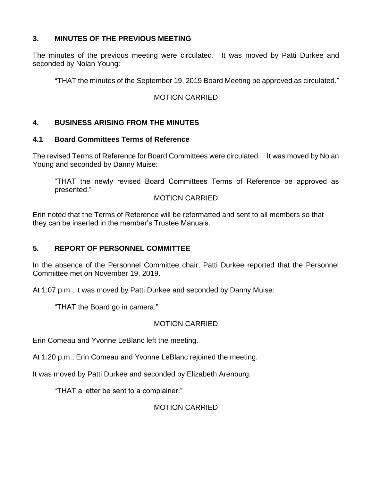### **3. MINUTES OF THE PREVIOUS MEETING**

The minutes of the previous meeting were circulated. It was moved by Patti Durkee and seconded by Nolan Young:

ATHAT the minutes of the September 19, 2019 Board Meeting be approved as circulated."

### MOTION CARRIED

### **4. BUSINESS ARISING FROM THE MINUTES**

#### **4.1 Board Committees Terms of Reference**

The revised Terms of Reference for Board Committees were circulated. It was moved by Nolan Young and seconded by Danny Muise:

"THAT the newly revised Board Committees Terms of Reference be approved as presented."

#### MOTION CARRIED

Erin noted that the Terms of Reference will be reformatted and sent to all members so that they can be inserted in the member's Trustee Manuals.

#### **5. REPORT OF PERSONNEL COMMITTEE**

In the absence of the Personnel Committee chair, Patti Durkee reported that the Personnel Committee met on November 19, 2019.

At 1:07 p.m., it was moved by Patti Durkee and seconded by Danny Muise:

"THAT the Board go in camera."

# MOTION CARRIED

Erin Comeau and Yvonne LeBlanc left the meeting.

At 1:20 p.m., Erin Comeau and Yvonne LeBlanc rejoined the meeting.

It was moved by Patti Durkee and seconded by Elizabeth Arenburg:

"THAT a letter be sent to a complainer."

# MOTION CARRIED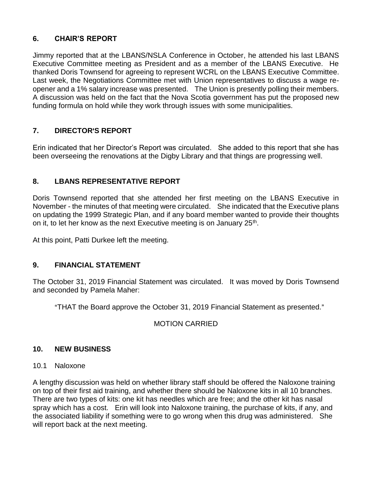# **6. CHAIR'S REPORT**

Jimmy reported that at the LBANS/NSLA Conference in October, he attended his last LBANS Executive Committee meeting as President and as a member of the LBANS Executive. He thanked Doris Townsend for agreeing to represent WCRL on the LBANS Executive Committee. Last week, the Negotiations Committee met with Union representatives to discuss a wage reopener and a 1% salary increase was presented. The Union is presently polling their members. A discussion was held on the fact that the Nova Scotia government has put the proposed new funding formula on hold while they work through issues with some municipalities.

# **7. DIRECTOR**=**S REPORT**

Erin indicated that her Director's Report was circulated. She added to this report that she has been overseeing the renovations at the Digby Library and that things are progressing well.

# **8. LBANS REPRESENTATIVE REPORT**

Doris Townsend reported that she attended her first meeting on the LBANS Executive in November - the minutes of that meeting were circulated. She indicated that the Executive plans on updating the 1999 Strategic Plan, and if any board member wanted to provide their thoughts on it, to let her know as the next Executive meeting is on January 25<sup>th</sup>.

At this point, Patti Durkee left the meeting.

# **9. FINANCIAL STATEMENT**

The October 31, 2019 Financial Statement was circulated. It was moved by Doris Townsend and seconded by Pamela Maher:

"THAT the Board approve the October 31, 2019 Financial Statement as presented."

# MOTION CARRIED

# **10. NEW BUSINESS**

# 10.1 Naloxone

A lengthy discussion was held on whether library staff should be offered the Naloxone training on top of their first aid training, and whether there should be Naloxone kits in all 10 branches. There are two types of kits: one kit has needles which are free; and the other kit has nasal spray which has a cost. Erin will look into Naloxone training, the purchase of kits, if any, and the associated liability if something were to go wrong when this drug was administered. She will report back at the next meeting.